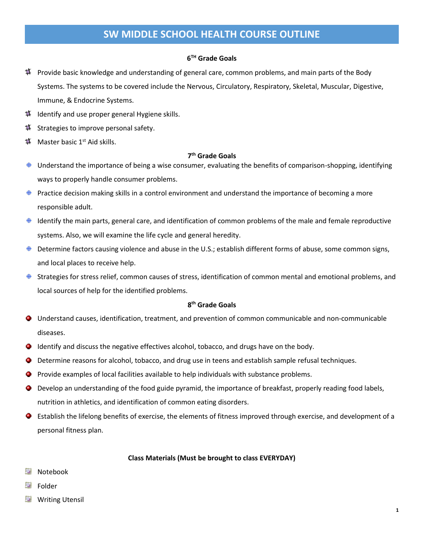# **SW MIDDLE SCHOOL HEALTH COURSE OUTLINE**

# **6 TH Grade Goals**

- $\sharp$  Provide basic knowledge and understanding of general care, common problems, and main parts of the Body Systems. The systems to be covered include the Nervous, Circulatory, Respiratory, Skeletal, Muscular, Digestive, Immune, & Endocrine Systems.
- Identify and use proper general Hygiene skills. 4
- Strategies to improve personal safety. Ħ,
- 4 Master basic 1<sup>st</sup> Aid skills.

## **7 th Grade Goals**

- Understand the importance of being a wise consumer, evaluating the benefits of comparison-shopping, identifying ⊕ ways to properly handle consumer problems.
- Practice decision making skills in a control environment and understand the importance of becoming a more responsible adult.
- Identify the main parts, general care, and identification of common problems of the male and female reproductive systems. Also, we will examine the life cycle and general heredity.
- Determine factors causing violence and abuse in the U.S.; establish different forms of abuse, some common signs, ⊕ and local places to receive help.
- Strategies for stress relief, common causes of stress, identification of common mental and emotional problems, and ⊕ local sources of help for the identified problems.

#### **8 th Grade Goals**

- Understand causes, identification, treatment, and prevention of common communicable and non-communicable diseases.
- Identify and discuss the negative effectives alcohol, tobacco, and drugs have on the body.
- Determine reasons for alcohol, tobacco, and drug use in teens and establish sample refusal techniques.
- Provide examples of local facilities available to help individuals with substance problems.
- Develop an understanding of the food guide pyramid, the importance of breakfast, properly reading food labels, nutrition in athletics, and identification of common eating disorders.
- Establish the lifelong benefits of exercise, the elements of fitness improved through exercise, and development of a ۰ personal fitness plan.

#### **Class Materials (Must be brought to class EVERYDAY)**

- Notebook GI.
- G Folder
- GI Writing Utensil